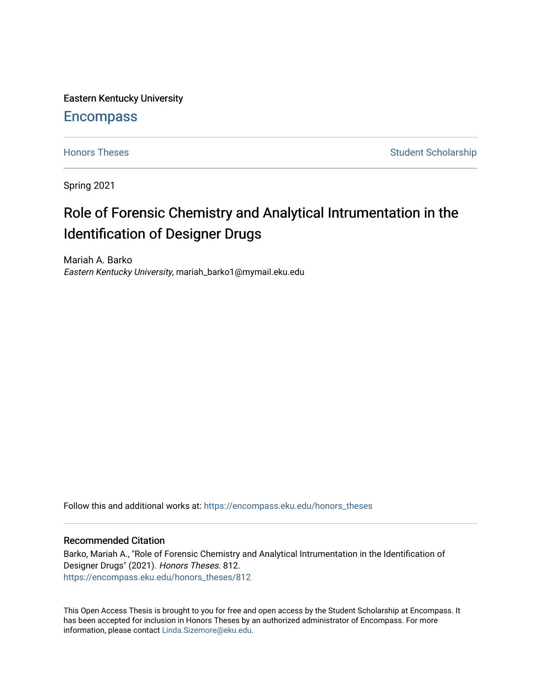Eastern Kentucky University

### **Encompass**

[Honors Theses](https://encompass.eku.edu/honors_theses) **Student Scholarship** Student Scholarship

Spring 2021

# Role of Forensic Chemistry and Analytical Intrumentation in the Identification of Designer Drugs

Mariah A. Barko Eastern Kentucky University, mariah\_barko1@mymail.eku.edu

Follow this and additional works at: [https://encompass.eku.edu/honors\\_theses](https://encompass.eku.edu/honors_theses?utm_source=encompass.eku.edu%2Fhonors_theses%2F812&utm_medium=PDF&utm_campaign=PDFCoverPages) 

#### Recommended Citation

Barko, Mariah A., "Role of Forensic Chemistry and Analytical Intrumentation in the Identification of Designer Drugs" (2021). Honors Theses. 812. [https://encompass.eku.edu/honors\\_theses/812](https://encompass.eku.edu/honors_theses/812?utm_source=encompass.eku.edu%2Fhonors_theses%2F812&utm_medium=PDF&utm_campaign=PDFCoverPages) 

This Open Access Thesis is brought to you for free and open access by the Student Scholarship at Encompass. It has been accepted for inclusion in Honors Theses by an authorized administrator of Encompass. For more information, please contact [Linda.Sizemore@eku.edu.](mailto:Linda.Sizemore@eku.edu)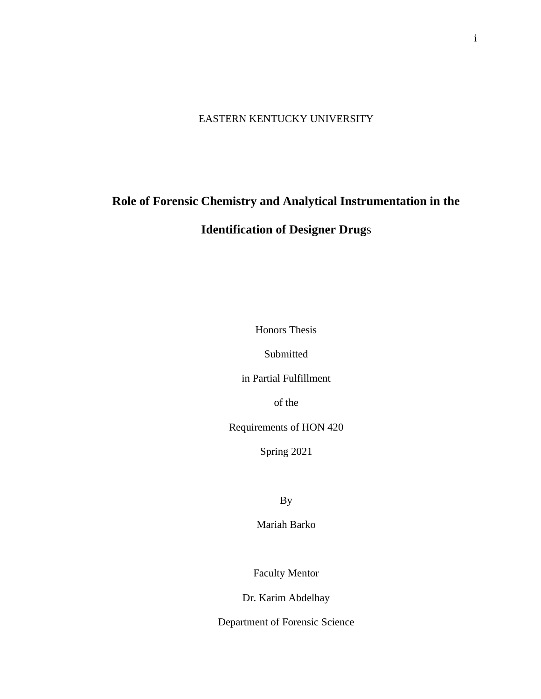#### EASTERN KENTUCKY UNIVERSITY

# **Role of Forensic Chemistry and Analytical Instrumentation in the Identification of Designer Drug**s

Honors Thesis

Submitted

in Partial Fulfillment

of the

Requirements of HON 420

Spring 2021

By

Mariah Barko

Faculty Mentor

Dr. Karim Abdelhay

Department of Forensic Science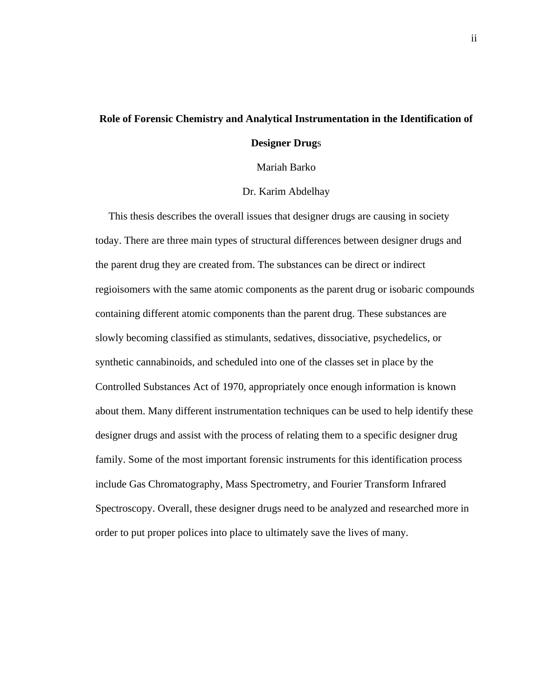## **Role of Forensic Chemistry and Analytical Instrumentation in the Identification of Designer Drug**s

Mariah Barko

#### Dr. Karim Abdelhay

 This thesis describes the overall issues that designer drugs are causing in society today. There are three main types of structural differences between designer drugs and the parent drug they are created from. The substances can be direct or indirect regioisomers with the same atomic components as the parent drug or isobaric compounds containing different atomic components than the parent drug. These substances are slowly becoming classified as stimulants, sedatives, dissociative, psychedelics, or synthetic cannabinoids, and scheduled into one of the classes set in place by the Controlled Substances Act of 1970, appropriately once enough information is known about them. Many different instrumentation techniques can be used to help identify these designer drugs and assist with the process of relating them to a specific designer drug family. Some of the most important forensic instruments for this identification process include Gas Chromatography, Mass Spectrometry, and Fourier Transform Infrared Spectroscopy. Overall, these designer drugs need to be analyzed and researched more in order to put proper polices into place to ultimately save the lives of many.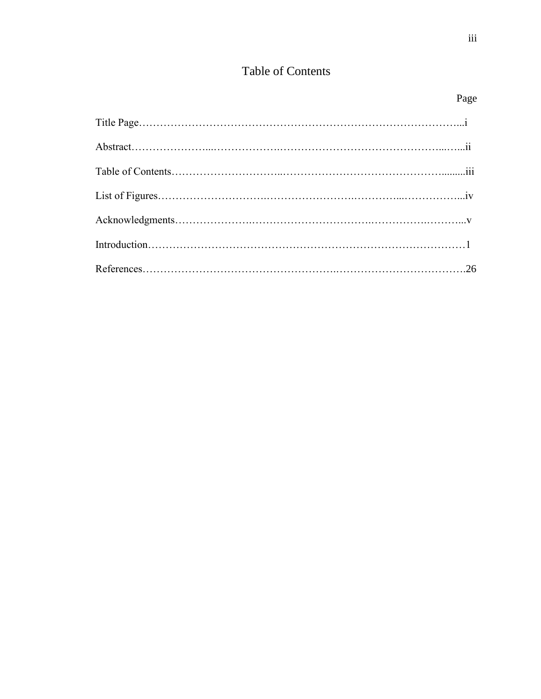### Table of Contents

### Page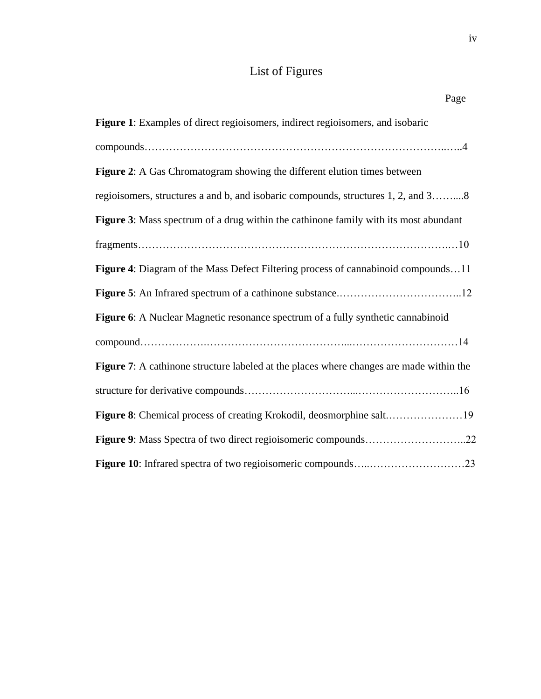# List of Figures

| Page                                                                                    |  |
|-----------------------------------------------------------------------------------------|--|
| Figure 1: Examples of direct regioisomers, indirect regioisomers, and isobaric          |  |
| $compounds. \dots 1.11$                                                                 |  |
| Figure 2: A Gas Chromatogram showing the different elution times between                |  |
| regioisomers, structures a and b, and isobaric compounds, structures 1, 2, and 38       |  |
| Figure 3: Mass spectrum of a drug within the cathinone family with its most abundant    |  |
|                                                                                         |  |
| Figure 4: Diagram of the Mass Defect Filtering process of cannabinoid compounds11       |  |
|                                                                                         |  |
| Figure 6: A Nuclear Magnetic resonance spectrum of a fully synthetic cannabinoid        |  |
|                                                                                         |  |
| Figure 7: A cathinone structure labeled at the places where changes are made within the |  |
|                                                                                         |  |
| Figure 8: Chemical process of creating Krokodil, deosmorphine salt19                    |  |
| <b>Figure 9:</b> Mass Spectra of two direct regioisomeric compounds22                   |  |
|                                                                                         |  |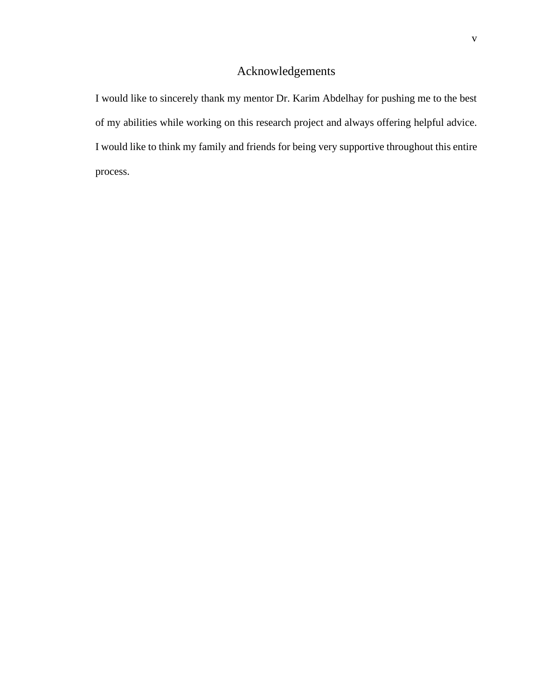### Acknowledgements

I would like to sincerely thank my mentor Dr. Karim Abdelhay for pushing me to the best of my abilities while working on this research project and always offering helpful advice. I would like to think my family and friends for being very supportive throughout this entire process.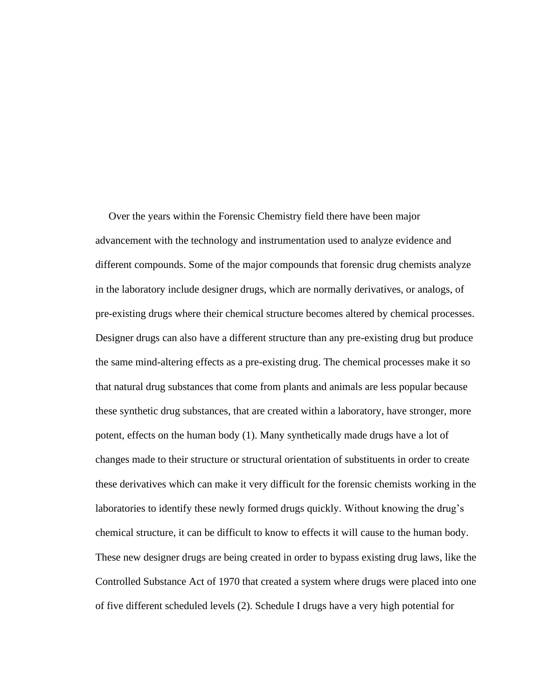Over the years within the Forensic Chemistry field there have been major advancement with the technology and instrumentation used to analyze evidence and different compounds. Some of the major compounds that forensic drug chemists analyze in the laboratory include designer drugs, which are normally derivatives, or analogs, of pre-existing drugs where their chemical structure becomes altered by chemical processes. Designer drugs can also have a different structure than any pre-existing drug but produce the same mind-altering effects as a pre-existing drug. The chemical processes make it so that natural drug substances that come from plants and animals are less popular because these synthetic drug substances, that are created within a laboratory, have stronger, more potent, effects on the human body (1). Many synthetically made drugs have a lot of changes made to their structure or structural orientation of substituents in order to create these derivatives which can make it very difficult for the forensic chemists working in the laboratories to identify these newly formed drugs quickly. Without knowing the drug's chemical structure, it can be difficult to know to effects it will cause to the human body. These new designer drugs are being created in order to bypass existing drug laws, like the Controlled Substance Act of 1970 that created a system where drugs were placed into one of five different scheduled levels (2). Schedule I drugs have a very high potential for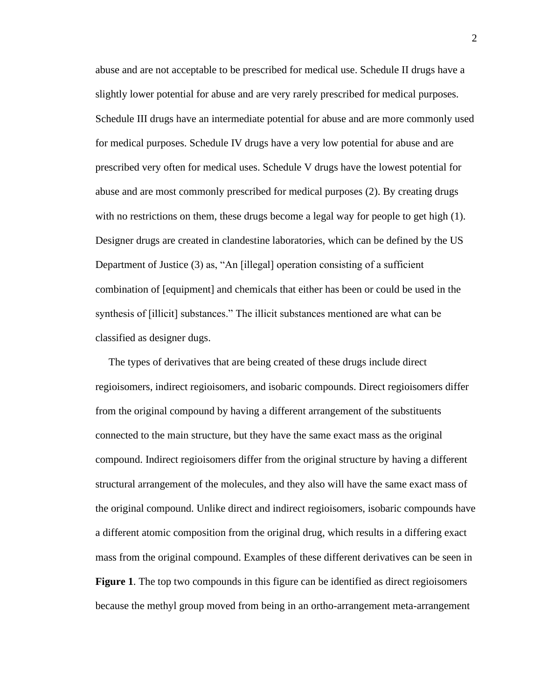abuse and are not acceptable to be prescribed for medical use. Schedule II drugs have a slightly lower potential for abuse and are very rarely prescribed for medical purposes. Schedule III drugs have an intermediate potential for abuse and are more commonly used for medical purposes. Schedule IV drugs have a very low potential for abuse and are prescribed very often for medical uses. Schedule V drugs have the lowest potential for abuse and are most commonly prescribed for medical purposes (2). By creating drugs with no restrictions on them, these drugs become a legal way for people to get high (1). Designer drugs are created in clandestine laboratories, which can be defined by the US Department of Justice (3) as, "An [illegal] operation consisting of a sufficient combination of [equipment] and chemicals that either has been or could be used in the synthesis of [illicit] substances." The illicit substances mentioned are what can be classified as designer dugs.

 The types of derivatives that are being created of these drugs include direct regioisomers, indirect regioisomers, and isobaric compounds. Direct regioisomers differ from the original compound by having a different arrangement of the substituents connected to the main structure, but they have the same exact mass as the original compound. Indirect regioisomers differ from the original structure by having a different structural arrangement of the molecules, and they also will have the same exact mass of the original compound. Unlike direct and indirect regioisomers, isobaric compounds have a different atomic composition from the original drug, which results in a differing exact mass from the original compound. Examples of these different derivatives can be seen in **Figure 1**. The top two compounds in this figure can be identified as direct regioisomers because the methyl group moved from being in an ortho-arrangement meta-arrangement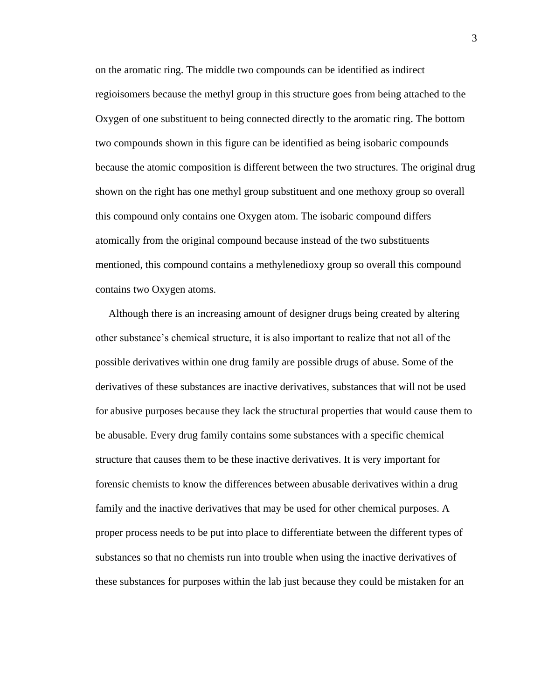on the aromatic ring. The middle two compounds can be identified as indirect regioisomers because the methyl group in this structure goes from being attached to the Oxygen of one substituent to being connected directly to the aromatic ring. The bottom two compounds shown in this figure can be identified as being isobaric compounds because the atomic composition is different between the two structures. The original drug shown on the right has one methyl group substituent and one methoxy group so overall this compound only contains one Oxygen atom. The isobaric compound differs atomically from the original compound because instead of the two substituents mentioned, this compound contains a methylenedioxy group so overall this compound contains two Oxygen atoms.

 Although there is an increasing amount of designer drugs being created by altering other substance's chemical structure, it is also important to realize that not all of the possible derivatives within one drug family are possible drugs of abuse. Some of the derivatives of these substances are inactive derivatives, substances that will not be used for abusive purposes because they lack the structural properties that would cause them to be abusable. Every drug family contains some substances with a specific chemical structure that causes them to be these inactive derivatives. It is very important for forensic chemists to know the differences between abusable derivatives within a drug family and the inactive derivatives that may be used for other chemical purposes. A proper process needs to be put into place to differentiate between the different types of substances so that no chemists run into trouble when using the inactive derivatives of these substances for purposes within the lab just because they could be mistaken for an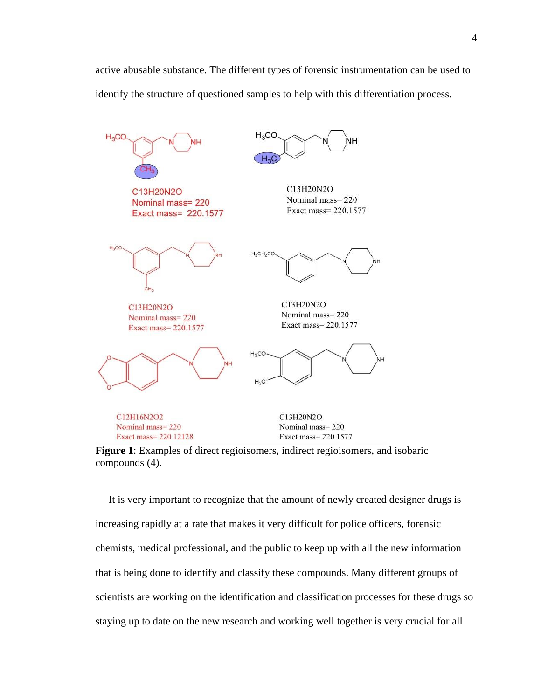active abusable substance. The different types of forensic instrumentation can be used to identify the structure of questioned samples to help with this differentiation process.



**Figure 1**: Examples of direct regioisomers, indirect regioisomers, and isobaric compounds (4).

 It is very important to recognize that the amount of newly created designer drugs is increasing rapidly at a rate that makes it very difficult for police officers, forensic chemists, medical professional, and the public to keep up with all the new information that is being done to identify and classify these compounds. Many different groups of scientists are working on the identification and classification processes for these drugs so staying up to date on the new research and working well together is very crucial for all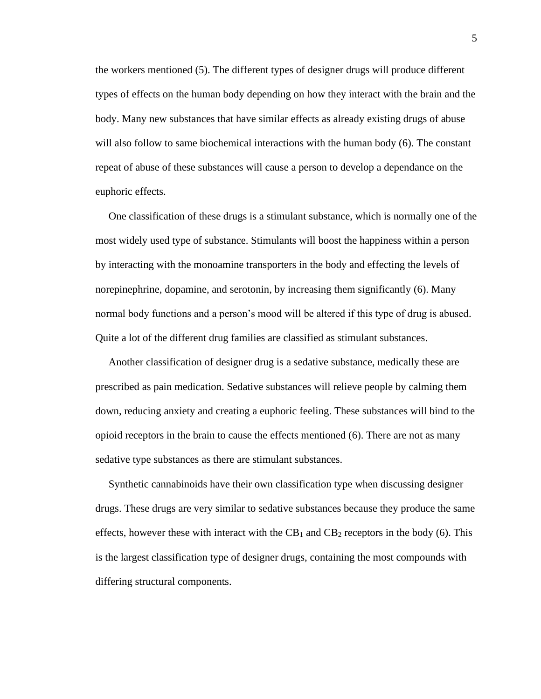the workers mentioned (5). The different types of designer drugs will produce different types of effects on the human body depending on how they interact with the brain and the body. Many new substances that have similar effects as already existing drugs of abuse will also follow to same biochemical interactions with the human body (6). The constant repeat of abuse of these substances will cause a person to develop a dependance on the euphoric effects.

 One classification of these drugs is a stimulant substance, which is normally one of the most widely used type of substance. Stimulants will boost the happiness within a person by interacting with the monoamine transporters in the body and effecting the levels of norepinephrine, dopamine, and serotonin, by increasing them significantly (6). Many normal body functions and a person's mood will be altered if this type of drug is abused. Quite a lot of the different drug families are classified as stimulant substances.

 Another classification of designer drug is a sedative substance, medically these are prescribed as pain medication. Sedative substances will relieve people by calming them down, reducing anxiety and creating a euphoric feeling. These substances will bind to the opioid receptors in the brain to cause the effects mentioned (6). There are not as many sedative type substances as there are stimulant substances.

 Synthetic cannabinoids have their own classification type when discussing designer drugs. These drugs are very similar to sedative substances because they produce the same effects, however these with interact with the  $CB_1$  and  $CB_2$  receptors in the body (6). This is the largest classification type of designer drugs, containing the most compounds with differing structural components.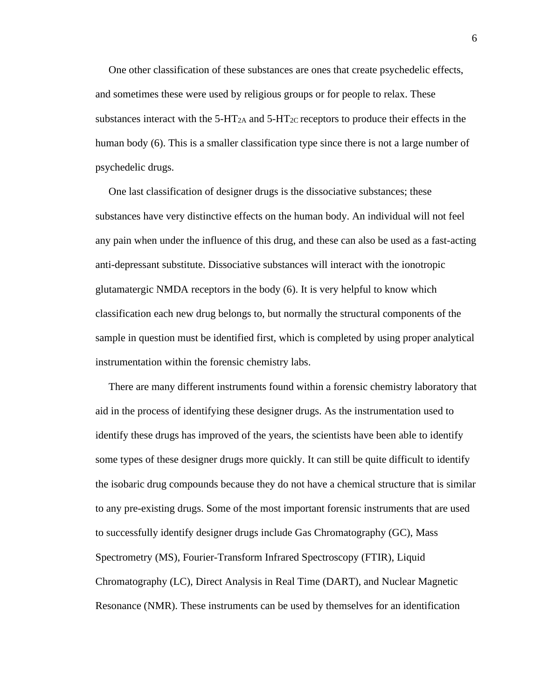One other classification of these substances are ones that create psychedelic effects, and sometimes these were used by religious groups or for people to relax. These substances interact with the  $5-HT_{2A}$  and  $5-HT_{2C}$  receptors to produce their effects in the human body (6). This is a smaller classification type since there is not a large number of psychedelic drugs.

 One last classification of designer drugs is the dissociative substances; these substances have very distinctive effects on the human body. An individual will not feel any pain when under the influence of this drug, and these can also be used as a fast-acting anti-depressant substitute. Dissociative substances will interact with the ionotropic glutamatergic NMDA receptors in the body (6). It is very helpful to know which classification each new drug belongs to, but normally the structural components of the sample in question must be identified first, which is completed by using proper analytical instrumentation within the forensic chemistry labs.

 There are many different instruments found within a forensic chemistry laboratory that aid in the process of identifying these designer drugs. As the instrumentation used to identify these drugs has improved of the years, the scientists have been able to identify some types of these designer drugs more quickly. It can still be quite difficult to identify the isobaric drug compounds because they do not have a chemical structure that is similar to any pre-existing drugs. Some of the most important forensic instruments that are used to successfully identify designer drugs include Gas Chromatography (GC), Mass Spectrometry (MS), Fourier-Transform Infrared Spectroscopy (FTIR), Liquid Chromatography (LC), Direct Analysis in Real Time (DART), and Nuclear Magnetic Resonance (NMR). These instruments can be used by themselves for an identification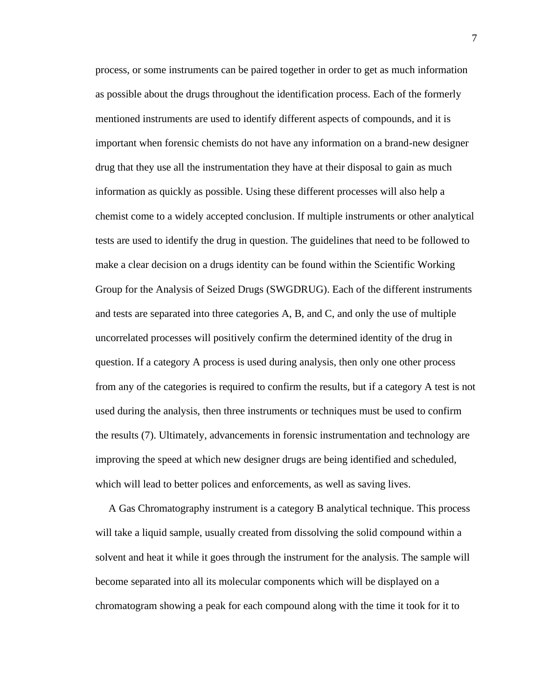process, or some instruments can be paired together in order to get as much information as possible about the drugs throughout the identification process. Each of the formerly mentioned instruments are used to identify different aspects of compounds, and it is important when forensic chemists do not have any information on a brand-new designer drug that they use all the instrumentation they have at their disposal to gain as much information as quickly as possible. Using these different processes will also help a chemist come to a widely accepted conclusion. If multiple instruments or other analytical tests are used to identify the drug in question. The guidelines that need to be followed to make a clear decision on a drugs identity can be found within the Scientific Working Group for the Analysis of Seized Drugs (SWGDRUG). Each of the different instruments and tests are separated into three categories A, B, and C, and only the use of multiple uncorrelated processes will positively confirm the determined identity of the drug in question. If a category A process is used during analysis, then only one other process from any of the categories is required to confirm the results, but if a category A test is not used during the analysis, then three instruments or techniques must be used to confirm the results (7). Ultimately, advancements in forensic instrumentation and technology are improving the speed at which new designer drugs are being identified and scheduled, which will lead to better polices and enforcements, as well as saving lives.

 A Gas Chromatography instrument is a category B analytical technique. This process will take a liquid sample, usually created from dissolving the solid compound within a solvent and heat it while it goes through the instrument for the analysis. The sample will become separated into all its molecular components which will be displayed on a chromatogram showing a peak for each compound along with the time it took for it to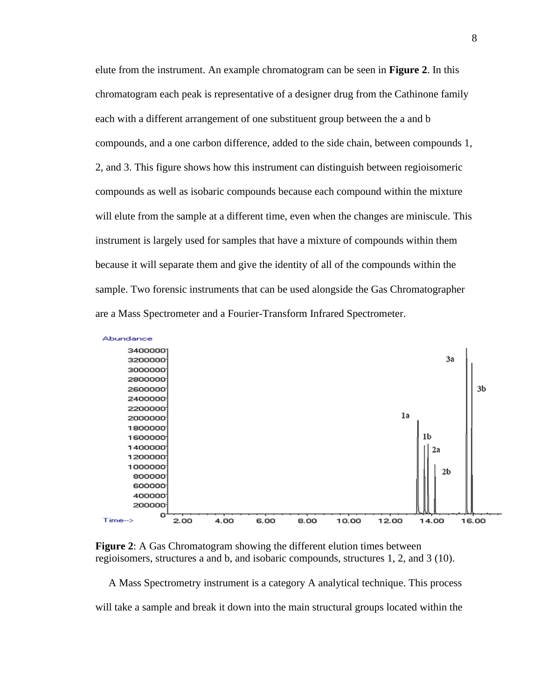elute from the instrument. An example chromatogram can be seen in **Figure 2**. In this chromatogram each peak is representative of a designer drug from the Cathinone family each with a different arrangement of one substituent group between the a and b compounds, and a one carbon difference, added to the side chain, between compounds 1, 2, and 3. This figure shows how this instrument can distinguish between regioisomeric compounds as well as isobaric compounds because each compound within the mixture will elute from the sample at a different time, even when the changes are miniscule. This instrument is largely used for samples that have a mixture of compounds within them because it will separate them and give the identity of all of the compounds within the sample. Two forensic instruments that can be used alongside the Gas Chromatographer are a Mass Spectrometer and a Fourier-Transform Infrared Spectrometer.



**Figure 2**: A Gas Chromatogram showing the different elution times between regioisomers, structures a and b, and isobaric compounds, structures 1, 2, and 3 (10).

A Mass Spectrometry instrument is a category A analytical technique. This process

will take a sample and break it down into the main structural groups located within the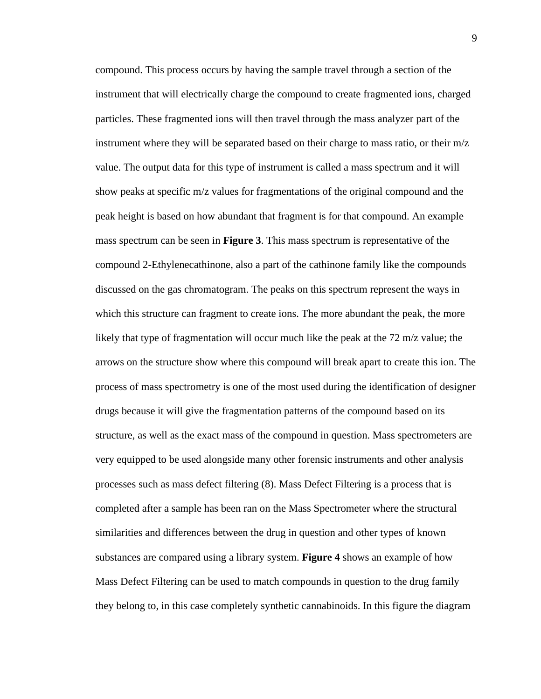compound. This process occurs by having the sample travel through a section of the instrument that will electrically charge the compound to create fragmented ions, charged particles. These fragmented ions will then travel through the mass analyzer part of the instrument where they will be separated based on their charge to mass ratio, or their m/z value. The output data for this type of instrument is called a mass spectrum and it will show peaks at specific m/z values for fragmentations of the original compound and the peak height is based on how abundant that fragment is for that compound. An example mass spectrum can be seen in **Figure 3**. This mass spectrum is representative of the compound 2-Ethylenecathinone, also a part of the cathinone family like the compounds discussed on the gas chromatogram. The peaks on this spectrum represent the ways in which this structure can fragment to create ions. The more abundant the peak, the more likely that type of fragmentation will occur much like the peak at the 72 m/z value; the arrows on the structure show where this compound will break apart to create this ion. The process of mass spectrometry is one of the most used during the identification of designer drugs because it will give the fragmentation patterns of the compound based on its structure, as well as the exact mass of the compound in question. Mass spectrometers are very equipped to be used alongside many other forensic instruments and other analysis processes such as mass defect filtering (8). Mass Defect Filtering is a process that is completed after a sample has been ran on the Mass Spectrometer where the structural similarities and differences between the drug in question and other types of known substances are compared using a library system. **Figure 4** shows an example of how Mass Defect Filtering can be used to match compounds in question to the drug family they belong to, in this case completely synthetic cannabinoids. In this figure the diagram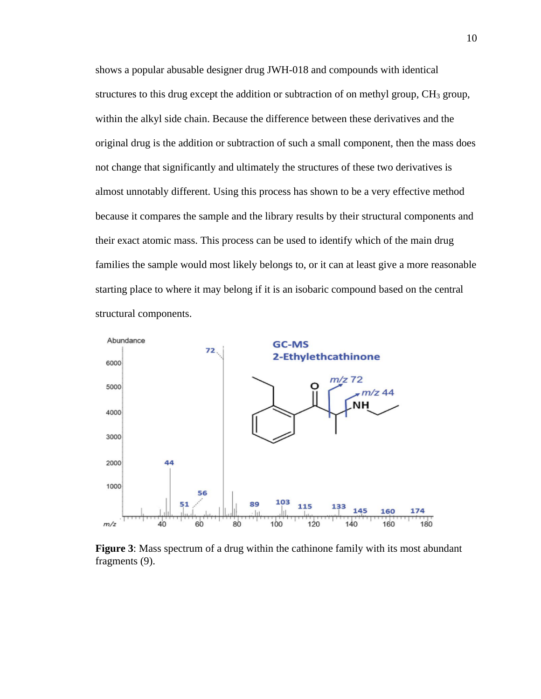shows a popular abusable designer drug JWH-018 and compounds with identical structures to this drug except the addition or subtraction of on methyl group,  $CH<sub>3</sub>$  group, within the alkyl side chain. Because the difference between these derivatives and the original drug is the addition or subtraction of such a small component, then the mass does not change that significantly and ultimately the structures of these two derivatives is almost unnotably different. Using this process has shown to be a very effective method because it compares the sample and the library results by their structural components and their exact atomic mass. This process can be used to identify which of the main drug families the sample would most likely belongs to, or it can at least give a more reasonable starting place to where it may belong if it is an isobaric compound based on the central structural components.



**Figure 3**: Mass spectrum of a drug within the cathinone family with its most abundant fragments (9).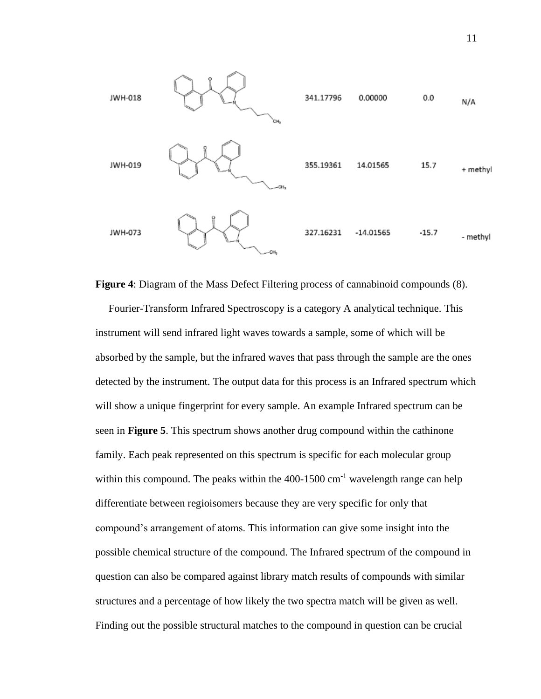

**Figure 4**: Diagram of the Mass Defect Filtering process of cannabinoid compounds (8).

 Fourier-Transform Infrared Spectroscopy is a category A analytical technique. This instrument will send infrared light waves towards a sample, some of which will be absorbed by the sample, but the infrared waves that pass through the sample are the ones detected by the instrument. The output data for this process is an Infrared spectrum which will show a unique fingerprint for every sample. An example Infrared spectrum can be seen in **Figure 5**. This spectrum shows another drug compound within the cathinone family. Each peak represented on this spectrum is specific for each molecular group within this compound. The peaks within the  $400-1500$  cm<sup>-1</sup> wavelength range can help differentiate between regioisomers because they are very specific for only that compound's arrangement of atoms. This information can give some insight into the possible chemical structure of the compound. The Infrared spectrum of the compound in question can also be compared against library match results of compounds with similar structures and a percentage of how likely the two spectra match will be given as well. Finding out the possible structural matches to the compound in question can be crucial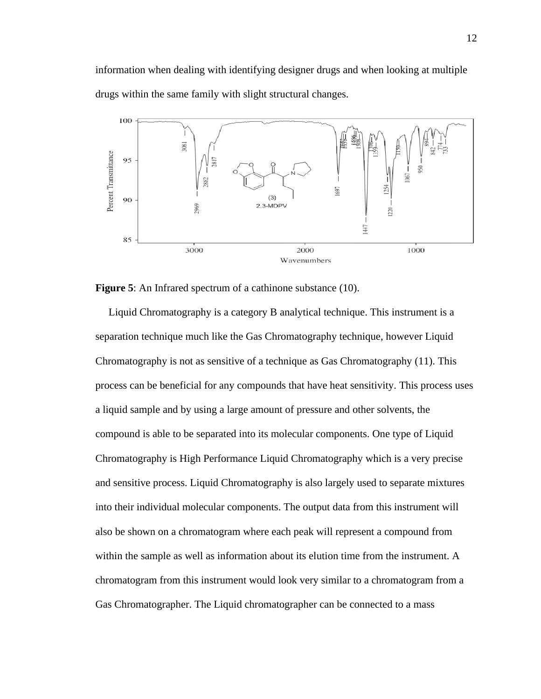information when dealing with identifying designer drugs and when looking at multiple drugs within the same family with slight structural changes.



**Figure 5**: An Infrared spectrum of a cathinone substance (10).

 Liquid Chromatography is a category B analytical technique. This instrument is a separation technique much like the Gas Chromatography technique, however Liquid Chromatography is not as sensitive of a technique as Gas Chromatography (11). This process can be beneficial for any compounds that have heat sensitivity. This process uses a liquid sample and by using a large amount of pressure and other solvents, the compound is able to be separated into its molecular components. One type of Liquid Chromatography is High Performance Liquid Chromatography which is a very precise and sensitive process. Liquid Chromatography is also largely used to separate mixtures into their individual molecular components. The output data from this instrument will also be shown on a chromatogram where each peak will represent a compound from within the sample as well as information about its elution time from the instrument. A chromatogram from this instrument would look very similar to a chromatogram from a Gas Chromatographer. The Liquid chromatographer can be connected to a mass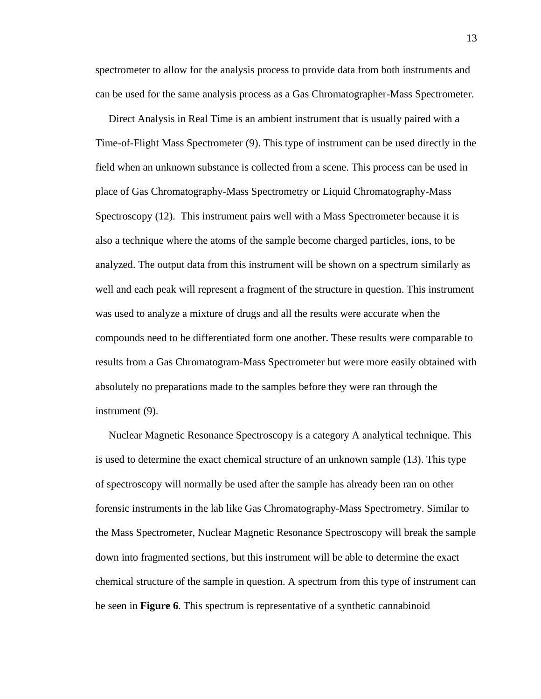spectrometer to allow for the analysis process to provide data from both instruments and can be used for the same analysis process as a Gas Chromatographer-Mass Spectrometer.

 Direct Analysis in Real Time is an ambient instrument that is usually paired with a Time-of-Flight Mass Spectrometer (9). This type of instrument can be used directly in the field when an unknown substance is collected from a scene. This process can be used in place of Gas Chromatography-Mass Spectrometry or Liquid Chromatography-Mass Spectroscopy (12). This instrument pairs well with a Mass Spectrometer because it is also a technique where the atoms of the sample become charged particles, ions, to be analyzed. The output data from this instrument will be shown on a spectrum similarly as well and each peak will represent a fragment of the structure in question. This instrument was used to analyze a mixture of drugs and all the results were accurate when the compounds need to be differentiated form one another. These results were comparable to results from a Gas Chromatogram-Mass Spectrometer but were more easily obtained with absolutely no preparations made to the samples before they were ran through the instrument (9).

 Nuclear Magnetic Resonance Spectroscopy is a category A analytical technique. This is used to determine the exact chemical structure of an unknown sample (13). This type of spectroscopy will normally be used after the sample has already been ran on other forensic instruments in the lab like Gas Chromatography-Mass Spectrometry. Similar to the Mass Spectrometer, Nuclear Magnetic Resonance Spectroscopy will break the sample down into fragmented sections, but this instrument will be able to determine the exact chemical structure of the sample in question. A spectrum from this type of instrument can be seen in **Figure 6**. This spectrum is representative of a synthetic cannabinoid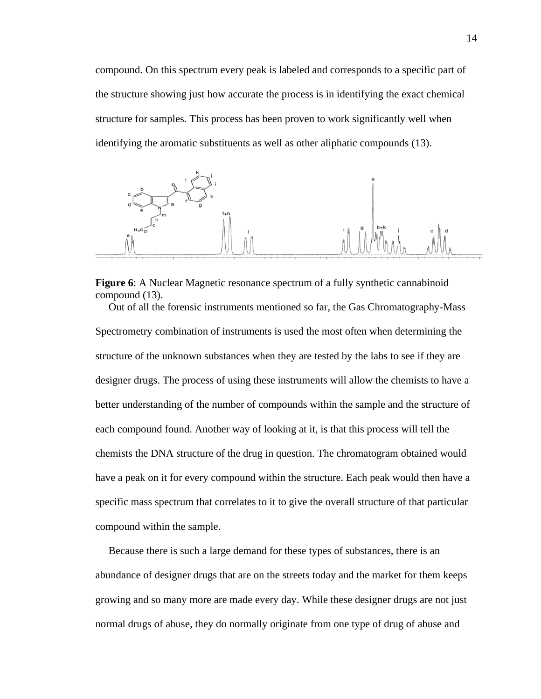compound. On this spectrum every peak is labeled and corresponds to a specific part of the structure showing just how accurate the process is in identifying the exact chemical structure for samples. This process has been proven to work significantly well when identifying the aromatic substituents as well as other aliphatic compounds (13).



**Figure 6**: A Nuclear Magnetic resonance spectrum of a fully synthetic cannabinoid compound (13).

 Out of all the forensic instruments mentioned so far, the Gas Chromatography-Mass Spectrometry combination of instruments is used the most often when determining the structure of the unknown substances when they are tested by the labs to see if they are designer drugs. The process of using these instruments will allow the chemists to have a better understanding of the number of compounds within the sample and the structure of each compound found. Another way of looking at it, is that this process will tell the chemists the DNA structure of the drug in question. The chromatogram obtained would have a peak on it for every compound within the structure. Each peak would then have a specific mass spectrum that correlates to it to give the overall structure of that particular compound within the sample.

 Because there is such a large demand for these types of substances, there is an abundance of designer drugs that are on the streets today and the market for them keeps growing and so many more are made every day. While these designer drugs are not just normal drugs of abuse, they do normally originate from one type of drug of abuse and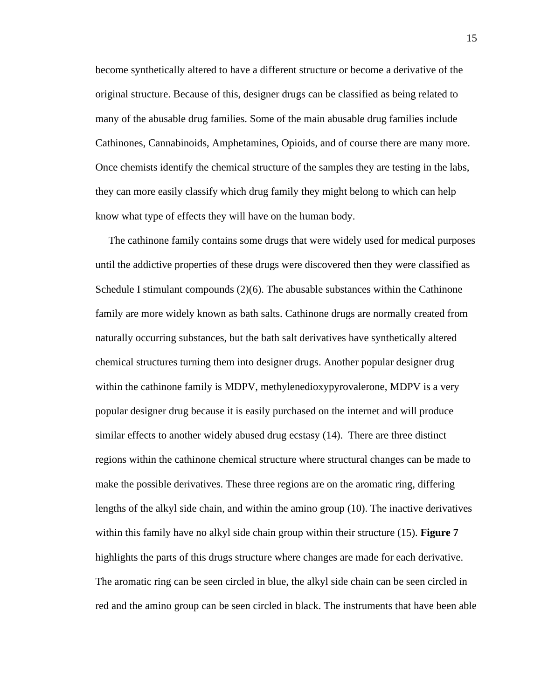become synthetically altered to have a different structure or become a derivative of the original structure. Because of this, designer drugs can be classified as being related to many of the abusable drug families. Some of the main abusable drug families include Cathinones, Cannabinoids, Amphetamines, Opioids, and of course there are many more. Once chemists identify the chemical structure of the samples they are testing in the labs, they can more easily classify which drug family they might belong to which can help know what type of effects they will have on the human body.

 The cathinone family contains some drugs that were widely used for medical purposes until the addictive properties of these drugs were discovered then they were classified as Schedule I stimulant compounds (2)(6). The abusable substances within the Cathinone family are more widely known as bath salts. Cathinone drugs are normally created from naturally occurring substances, but the bath salt derivatives have synthetically altered chemical structures turning them into designer drugs. Another popular designer drug within the cathinone family is MDPV, methylenedioxypyrovalerone, MDPV is a very popular designer drug because it is easily purchased on the internet and will produce similar effects to another widely abused drug ecstasy (14). There are three distinct regions within the cathinone chemical structure where structural changes can be made to make the possible derivatives. These three regions are on the aromatic ring, differing lengths of the alkyl side chain, and within the amino group (10). The inactive derivatives within this family have no alkyl side chain group within their structure (15). **Figure 7** highlights the parts of this drugs structure where changes are made for each derivative. The aromatic ring can be seen circled in blue, the alkyl side chain can be seen circled in red and the amino group can be seen circled in black. The instruments that have been able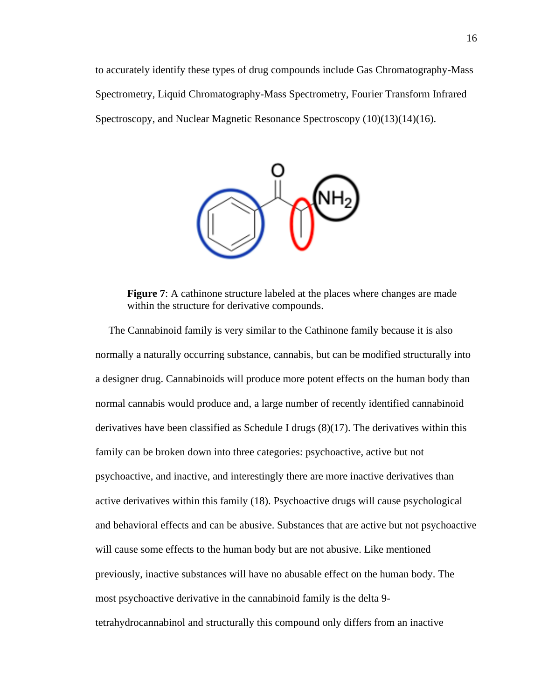to accurately identify these types of drug compounds include Gas Chromatography-Mass Spectrometry, Liquid Chromatography-Mass Spectrometry, Fourier Transform Infrared Spectroscopy, and Nuclear Magnetic Resonance Spectroscopy (10)(13)(14)(16).



**Figure 7**: A cathinone structure labeled at the places where changes are made within the structure for derivative compounds.

 The Cannabinoid family is very similar to the Cathinone family because it is also normally a naturally occurring substance, cannabis, but can be modified structurally into a designer drug. Cannabinoids will produce more potent effects on the human body than normal cannabis would produce and, a large number of recently identified cannabinoid derivatives have been classified as Schedule I drugs (8)(17). The derivatives within this family can be broken down into three categories: psychoactive, active but not psychoactive, and inactive, and interestingly there are more inactive derivatives than active derivatives within this family (18). Psychoactive drugs will cause psychological and behavioral effects and can be abusive. Substances that are active but not psychoactive will cause some effects to the human body but are not abusive. Like mentioned previously, inactive substances will have no abusable effect on the human body. The most psychoactive derivative in the cannabinoid family is the delta 9 tetrahydrocannabinol and structurally this compound only differs from an inactive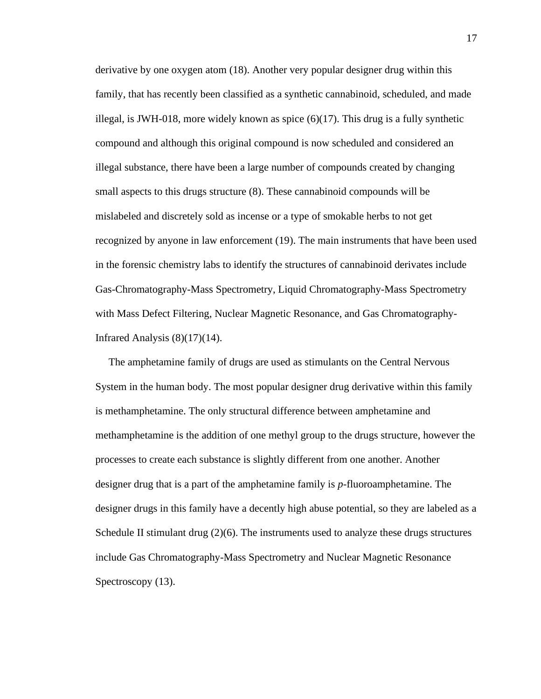derivative by one oxygen atom (18). Another very popular designer drug within this family, that has recently been classified as a synthetic cannabinoid, scheduled, and made illegal, is JWH-018, more widely known as spice  $(6)(17)$ . This drug is a fully synthetic compound and although this original compound is now scheduled and considered an illegal substance, there have been a large number of compounds created by changing small aspects to this drugs structure (8). These cannabinoid compounds will be mislabeled and discretely sold as incense or a type of smokable herbs to not get recognized by anyone in law enforcement (19). The main instruments that have been used in the forensic chemistry labs to identify the structures of cannabinoid derivates include Gas-Chromatography-Mass Spectrometry, Liquid Chromatography-Mass Spectrometry with Mass Defect Filtering, Nuclear Magnetic Resonance, and Gas Chromatography-Infrared Analysis (8)(17)(14).

 The amphetamine family of drugs are used as stimulants on the Central Nervous System in the human body. The most popular designer drug derivative within this family is methamphetamine. The only structural difference between amphetamine and methamphetamine is the addition of one methyl group to the drugs structure, however the processes to create each substance is slightly different from one another. Another designer drug that is a part of the amphetamine family is *p*-fluoroamphetamine. The designer drugs in this family have a decently high abuse potential, so they are labeled as a Schedule II stimulant drug  $(2)(6)$ . The instruments used to analyze these drugs structures include Gas Chromatography-Mass Spectrometry and Nuclear Magnetic Resonance Spectroscopy (13).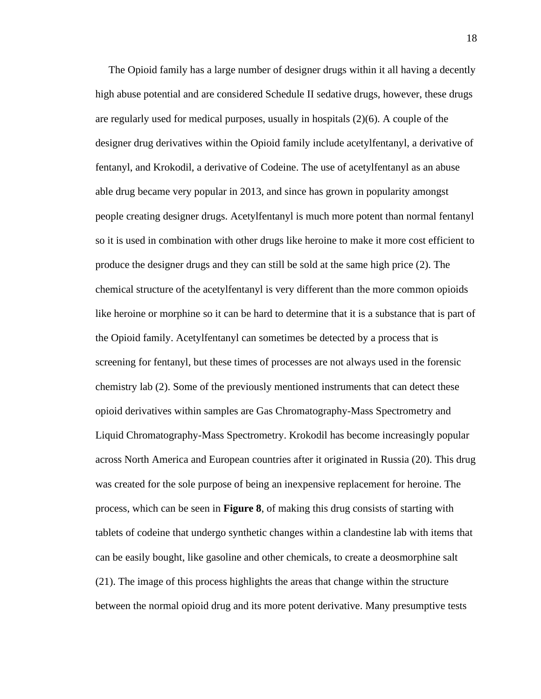The Opioid family has a large number of designer drugs within it all having a decently high abuse potential and are considered Schedule II sedative drugs, however, these drugs are regularly used for medical purposes, usually in hospitals (2)(6). A couple of the designer drug derivatives within the Opioid family include acetylfentanyl, a derivative of fentanyl, and Krokodil, a derivative of Codeine. The use of acetylfentanyl as an abuse able drug became very popular in 2013, and since has grown in popularity amongst people creating designer drugs. Acetylfentanyl is much more potent than normal fentanyl so it is used in combination with other drugs like heroine to make it more cost efficient to produce the designer drugs and they can still be sold at the same high price (2). The chemical structure of the acetylfentanyl is very different than the more common opioids like heroine or morphine so it can be hard to determine that it is a substance that is part of the Opioid family. Acetylfentanyl can sometimes be detected by a process that is screening for fentanyl, but these times of processes are not always used in the forensic chemistry lab (2). Some of the previously mentioned instruments that can detect these opioid derivatives within samples are Gas Chromatography-Mass Spectrometry and Liquid Chromatography-Mass Spectrometry. Krokodil has become increasingly popular across North America and European countries after it originated in Russia (20). This drug was created for the sole purpose of being an inexpensive replacement for heroine. The process, which can be seen in **Figure 8**, of making this drug consists of starting with tablets of codeine that undergo synthetic changes within a clandestine lab with items that can be easily bought, like gasoline and other chemicals, to create a deosmorphine salt (21). The image of this process highlights the areas that change within the structure between the normal opioid drug and its more potent derivative. Many presumptive tests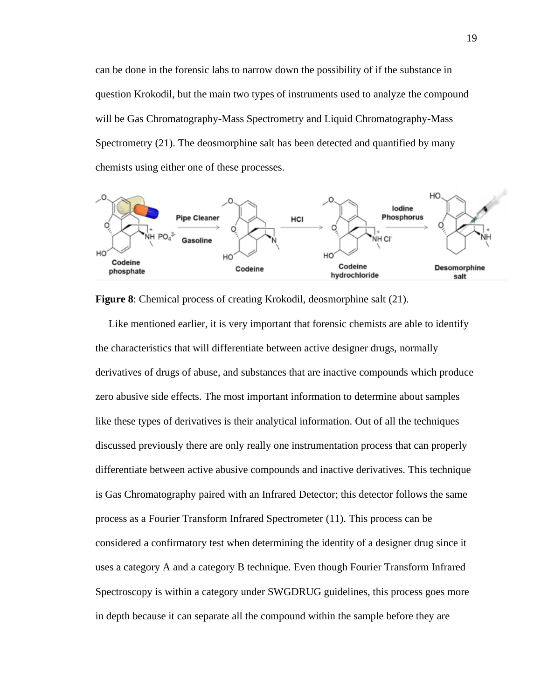can be done in the forensic labs to narrow down the possibility of if the substance in question Krokodil, but the main two types of instruments used to analyze the compound will be Gas Chromatography-Mass Spectrometry and Liquid Chromatography-Mass Spectrometry (21). The deosmorphine salt has been detected and quantified by many chemists using either one of these processes.



**Figure 8**: Chemical process of creating Krokodil, deosmorphine salt (21).

 Like mentioned earlier, it is very important that forensic chemists are able to identify the characteristics that will differentiate between active designer drugs, normally derivatives of drugs of abuse, and substances that are inactive compounds which produce zero abusive side effects. The most important information to determine about samples like these types of derivatives is their analytical information. Out of all the techniques discussed previously there are only really one instrumentation process that can properly differentiate between active abusive compounds and inactive derivatives. This technique is Gas Chromatography paired with an Infrared Detector; this detector follows the same process as a Fourier Transform Infrared Spectrometer (11). This process can be considered a confirmatory test when determining the identity of a designer drug since it uses a category A and a category B technique. Even though Fourier Transform Infrared Spectroscopy is within a category under SWGDRUG guidelines, this process goes more in depth because it can separate all the compound within the sample before they are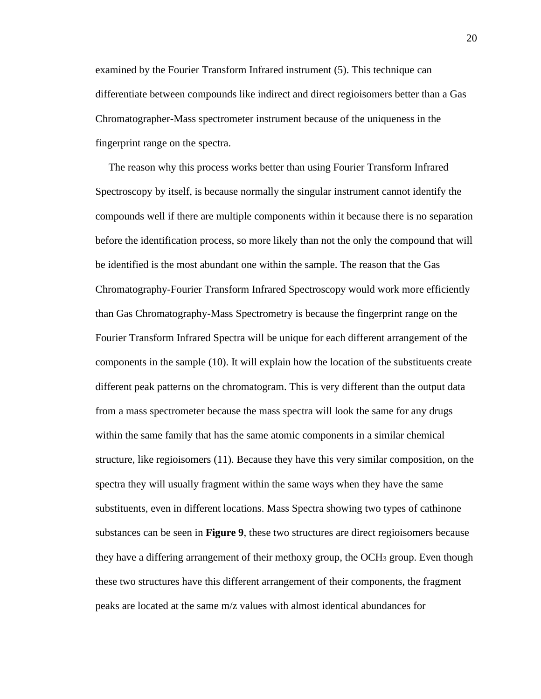examined by the Fourier Transform Infrared instrument (5). This technique can differentiate between compounds like indirect and direct regioisomers better than a Gas Chromatographer-Mass spectrometer instrument because of the uniqueness in the fingerprint range on the spectra.

 The reason why this process works better than using Fourier Transform Infrared Spectroscopy by itself, is because normally the singular instrument cannot identify the compounds well if there are multiple components within it because there is no separation before the identification process, so more likely than not the only the compound that will be identified is the most abundant one within the sample. The reason that the Gas Chromatography-Fourier Transform Infrared Spectroscopy would work more efficiently than Gas Chromatography-Mass Spectrometry is because the fingerprint range on the Fourier Transform Infrared Spectra will be unique for each different arrangement of the components in the sample (10). It will explain how the location of the substituents create different peak patterns on the chromatogram. This is very different than the output data from a mass spectrometer because the mass spectra will look the same for any drugs within the same family that has the same atomic components in a similar chemical structure, like regioisomers (11). Because they have this very similar composition, on the spectra they will usually fragment within the same ways when they have the same substituents, even in different locations. Mass Spectra showing two types of cathinone substances can be seen in **Figure 9**, these two structures are direct regioisomers because they have a differing arrangement of their methoxy group, the  $OCH<sub>3</sub>$  group. Even though these two structures have this different arrangement of their components, the fragment peaks are located at the same m/z values with almost identical abundances for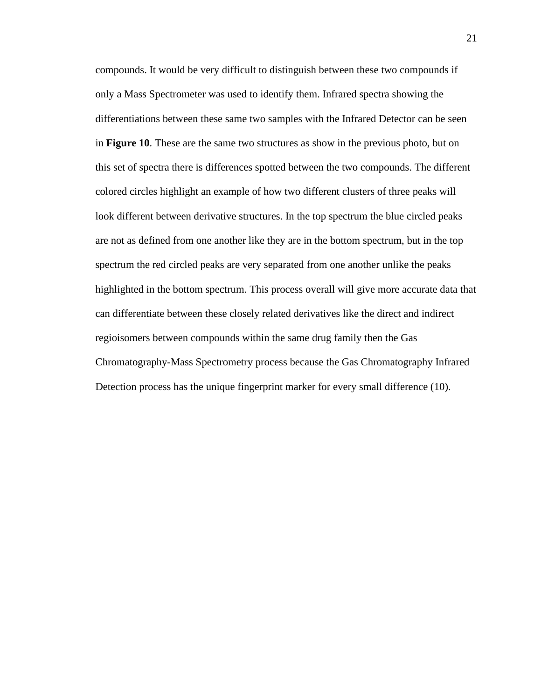compounds. It would be very difficult to distinguish between these two compounds if only a Mass Spectrometer was used to identify them. Infrared spectra showing the differentiations between these same two samples with the Infrared Detector can be seen in **Figure 10**. These are the same two structures as show in the previous photo, but on this set of spectra there is differences spotted between the two compounds. The different colored circles highlight an example of how two different clusters of three peaks will look different between derivative structures. In the top spectrum the blue circled peaks are not as defined from one another like they are in the bottom spectrum, but in the top spectrum the red circled peaks are very separated from one another unlike the peaks highlighted in the bottom spectrum. This process overall will give more accurate data that can differentiate between these closely related derivatives like the direct and indirect regioisomers between compounds within the same drug family then the Gas Chromatography-Mass Spectrometry process because the Gas Chromatography Infrared Detection process has the unique fingerprint marker for every small difference (10).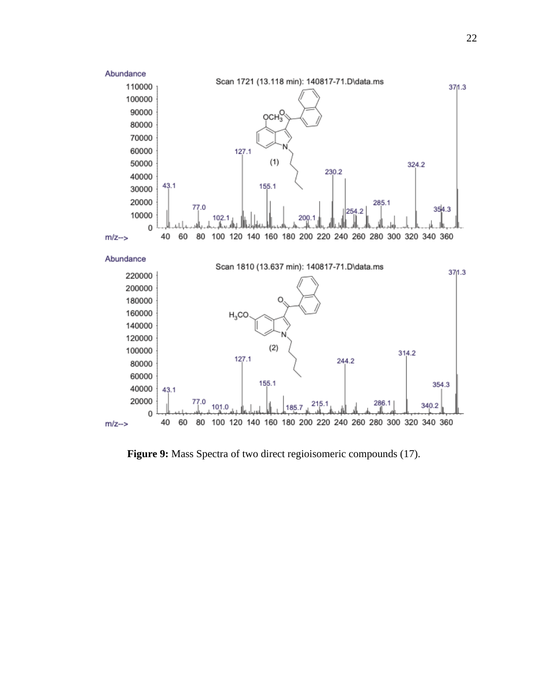

**Figure 9:** Mass Spectra of two direct regioisomeric compounds (17).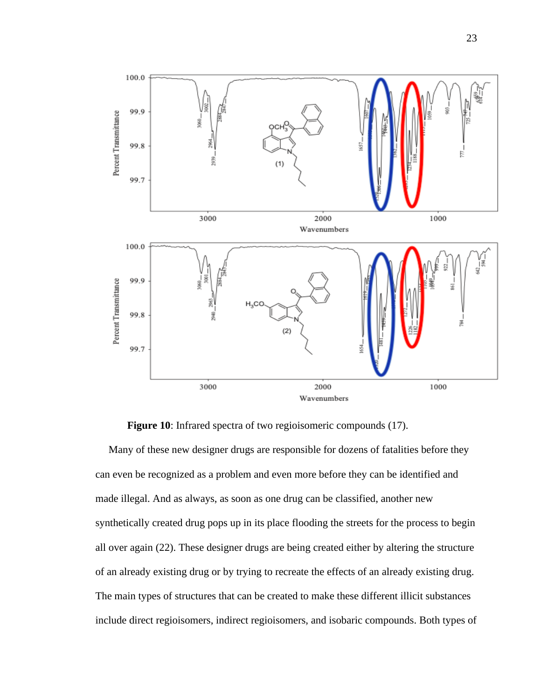

**Figure 10**: Infrared spectra of two regioisomeric compounds (17).

 Many of these new designer drugs are responsible for dozens of fatalities before they can even be recognized as a problem and even more before they can be identified and made illegal. And as always, as soon as one drug can be classified, another new synthetically created drug pops up in its place flooding the streets for the process to begin all over again (22). These designer drugs are being created either by altering the structure of an already existing drug or by trying to recreate the effects of an already existing drug. The main types of structures that can be created to make these different illicit substances include direct regioisomers, indirect regioisomers, and isobaric compounds. Both types of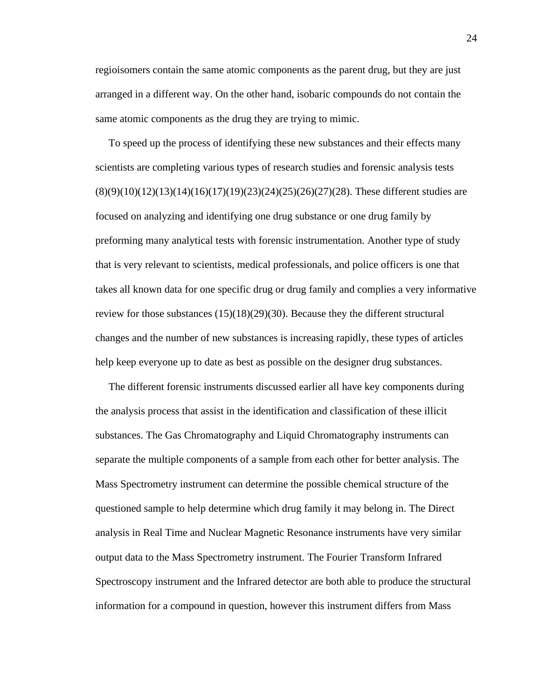regioisomers contain the same atomic components as the parent drug, but they are just arranged in a different way. On the other hand, isobaric compounds do not contain the same atomic components as the drug they are trying to mimic.

 To speed up the process of identifying these new substances and their effects many scientists are completing various types of research studies and forensic analysis tests  $(8)(9)(10)(12)(13)(14)(16)(17)(19)(23)(24)(25)(26)(27)(28)$ . These different studies are focused on analyzing and identifying one drug substance or one drug family by preforming many analytical tests with forensic instrumentation. Another type of study that is very relevant to scientists, medical professionals, and police officers is one that takes all known data for one specific drug or drug family and complies a very informative review for those substances (15)(18)(29)(30). Because they the different structural changes and the number of new substances is increasing rapidly, these types of articles help keep everyone up to date as best as possible on the designer drug substances.

 The different forensic instruments discussed earlier all have key components during the analysis process that assist in the identification and classification of these illicit substances. The Gas Chromatography and Liquid Chromatography instruments can separate the multiple components of a sample from each other for better analysis. The Mass Spectrometry instrument can determine the possible chemical structure of the questioned sample to help determine which drug family it may belong in. The Direct analysis in Real Time and Nuclear Magnetic Resonance instruments have very similar output data to the Mass Spectrometry instrument. The Fourier Transform Infrared Spectroscopy instrument and the Infrared detector are both able to produce the structural information for a compound in question, however this instrument differs from Mass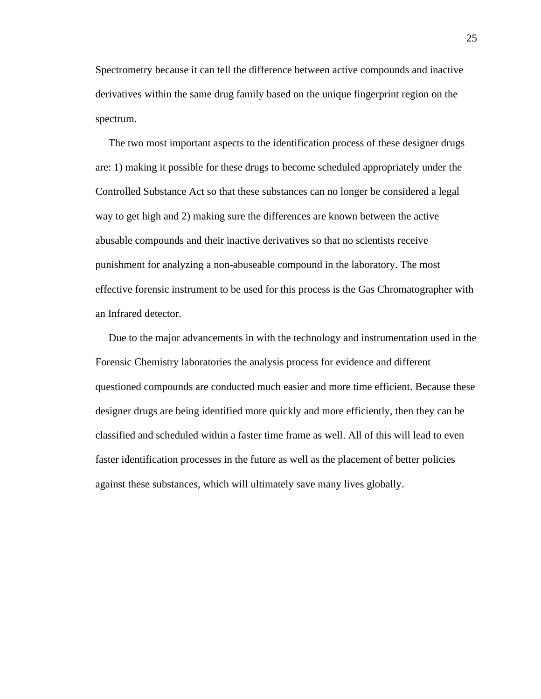Spectrometry because it can tell the difference between active compounds and inactive derivatives within the same drug family based on the unique fingerprint region on the spectrum.

 The two most important aspects to the identification process of these designer drugs are: 1) making it possible for these drugs to become scheduled appropriately under the Controlled Substance Act so that these substances can no longer be considered a legal way to get high and 2) making sure the differences are known between the active abusable compounds and their inactive derivatives so that no scientists receive punishment for analyzing a non-abuseable compound in the laboratory. The most effective forensic instrument to be used for this process is the Gas Chromatographer with an Infrared detector.

 Due to the major advancements in with the technology and instrumentation used in the Forensic Chemistry laboratories the analysis process for evidence and different questioned compounds are conducted much easier and more time efficient. Because these designer drugs are being identified more quickly and more efficiently, then they can be classified and scheduled within a faster time frame as well. All of this will lead to even faster identification processes in the future as well as the placement of better policies against these substances, which will ultimately save many lives globally.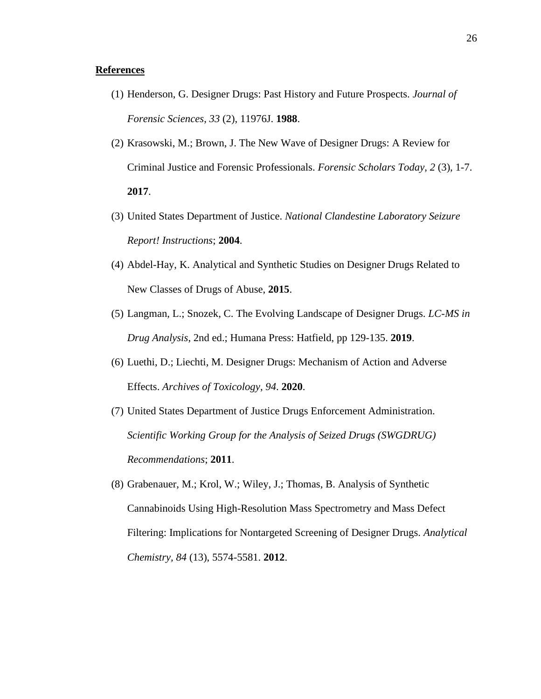#### **References**

- (1) Henderson, G. Designer Drugs: Past History and Future Prospects. *Journal of Forensic Sciences*, *33* (2), 11976J. **1988**.
- (2) Krasowski, M.; Brown, J. The New Wave of Designer Drugs: A Review for Criminal Justice and Forensic Professionals. *Forensic Scholars Today*, *2* (3), 1-7. **2017**.
- (3) United States Department of Justice. *National Clandestine Laboratory Seizure Report! Instructions*; **2004**.
- (4) Abdel-Hay, K. Analytical and Synthetic Studies on Designer Drugs Related to New Classes of Drugs of Abuse, **2015**.
- (5) Langman, L.; Snozek, C. The Evolving Landscape of Designer Drugs. *LC-MS in Drug Analysis*, 2nd ed.; Humana Press: Hatfield, pp 129-135. **2019**.
- (6) Luethi, D.; Liechti, M. Designer Drugs: Mechanism of Action and Adverse Effects. *Archives of Toxicology*, *94*. **2020**.
- (7) United States Department of Justice Drugs Enforcement Administration. *Scientific Working Group for the Analysis of Seized Drugs (SWGDRUG) Recommendations*; **2011**.
- (8) Grabenauer, M.; Krol, W.; Wiley, J.; Thomas, B. Analysis of Synthetic Cannabinoids Using High-Resolution Mass Spectrometry and Mass Defect Filtering: Implications for Nontargeted Screening of Designer Drugs. *Analytical Chemistry, 84* (13), 5574-5581. **2012**.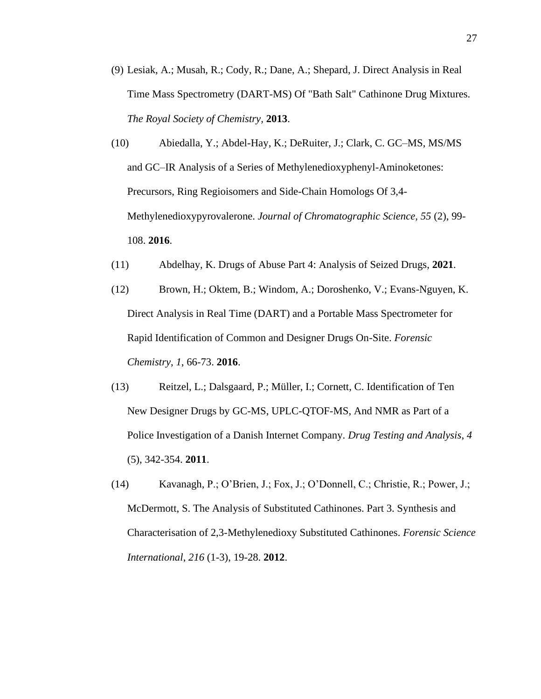- (9) Lesiak, A.; Musah, R.; Cody, R.; Dane, A.; Shepard, J. Direct Analysis in Real Time Mass Spectrometry (DART-MS) Of "Bath Salt" Cathinone Drug Mixtures. *The Royal Society of Chemistry,* **2013**.
- (10) Abiedalla, Y.; Abdel-Hay, K.; DeRuiter, J.; Clark, C. GC–MS, MS/MS and GC–IR Analysis of a Series of Methylenedioxyphenyl-Aminoketones: Precursors, Ring Regioisomers and Side-Chain Homologs Of 3,4- Methylenedioxypyrovalerone. *Journal of Chromatographic Science*, *55* (2), 99- 108. **2016**.
- (11) Abdelhay, K. Drugs of Abuse Part 4: Analysis of Seized Drugs, **2021**.
- (12) Brown, H.; Oktem, B.; Windom, A.; Doroshenko, V.; Evans-Nguyen, K. Direct Analysis in Real Time (DART) and a Portable Mass Spectrometer for Rapid Identification of Common and Designer Drugs On-Site. *Forensic Chemistry*, *1*, 66-73. **2016**.
- (13) Reitzel, L.; Dalsgaard, P.; Müller, I.; Cornett, C. Identification of Ten New Designer Drugs by GC-MS, UPLC-QTOF-MS, And NMR as Part of a Police Investigation of a Danish Internet Company. *Drug Testing and Analysis*, *4* (5), 342-354. **2011**.
- (14) Kavanagh, P.; O'Brien, J.; Fox, J.; O'Donnell, C.; Christie, R.; Power, J.; McDermott, S. The Analysis of Substituted Cathinones. Part 3. Synthesis and Characterisation of 2,3-Methylenedioxy Substituted Cathinones. *Forensic Science International*, *216* (1-3), 19-28. **2012**.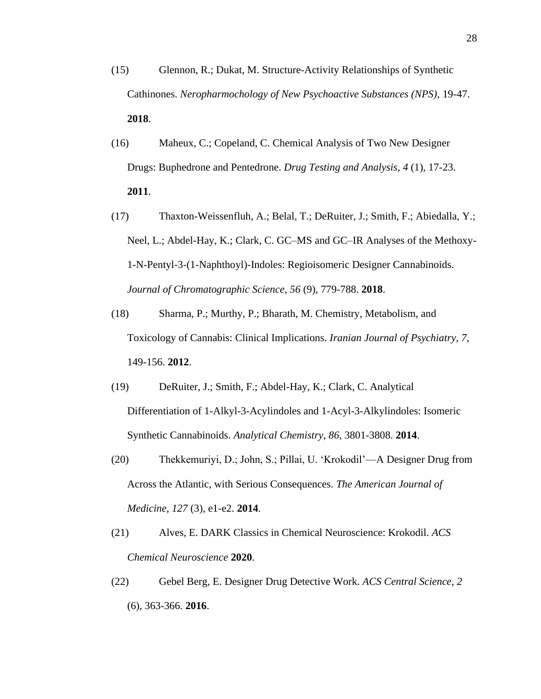- (15) Glennon, R.; Dukat, M. Structure-Activity Relationships of Synthetic Cathinones. *Neropharmochology of New Psychoactive Substances (NPS)*, 19-47. **2018**.
- (16) Maheux, C.; Copeland, C. Chemical Analysis of Two New Designer Drugs: Buphedrone and Pentedrone. *Drug Testing and Analysis*, *4* (1), 17-23. **2011**.
- (17) Thaxton-Weissenfluh, A.; Belal, T.; DeRuiter, J.; Smith, F.; Abiedalla, Y.; Neel, L.; Abdel-Hay, K.; Clark, C. GC–MS and GC–IR Analyses of the Methoxy-1-N-Pentyl-3-(1-Naphthoyl)-Indoles: Regioisomeric Designer Cannabinoids. *Journal of Chromatographic Science*, *56* (9), 779-788. **2018**.
- (18) Sharma, P.; Murthy, P.; Bharath, M. Chemistry, Metabolism, and Toxicology of Cannabis: Clinical Implications. *Iranian Journal of Psychiatry*, *7*, 149-156. **2012**.
- (19) DeRuiter, J.; Smith, F.; Abdel-Hay, K.; Clark, C. Analytical Differentiation of 1-Alkyl-3-Acylindoles and 1-Acyl-3-Alkylindoles: Isomeric Synthetic Cannabinoids. *Analytical Chemistry*, *86*, 3801-3808. **2014**.
- (20) Thekkemuriyi, D.; John, S.; Pillai, U. 'Krokodil'—A Designer Drug from Across the Atlantic, with Serious Consequences. *The American Journal of Medicine*, *127* (3), e1-e2. **2014**.
- (21) Alves, E. DARK Classics in Chemical Neuroscience: Krokodil. *ACS Chemical Neuroscience* **2020**.
- (22) Gebel Berg, E. Designer Drug Detective Work. *ACS Central Science*, *2* (6), 363-366. **2016**.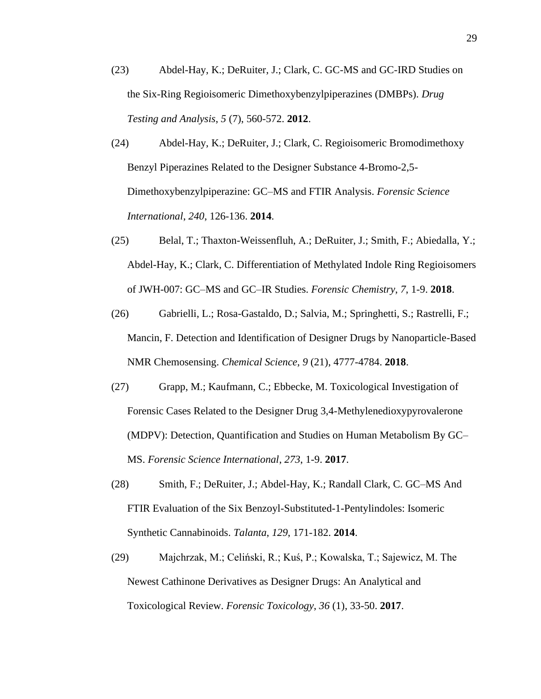- (23) Abdel-Hay, K.; DeRuiter, J.; Clark, C. GC-MS and GC-IRD Studies on the Six-Ring Regioisomeric Dimethoxybenzylpiperazines (DMBPs). *Drug Testing and Analysis*, *5* (7), 560-572. **2012**.
- (24) Abdel-Hay, K.; DeRuiter, J.; Clark, C. Regioisomeric Bromodimethoxy Benzyl Piperazines Related to the Designer Substance 4-Bromo-2,5- Dimethoxybenzylpiperazine: GC–MS and FTIR Analysis. *Forensic Science International*, *240*, 126-136. **2014**.
- (25) Belal, T.; Thaxton-Weissenfluh, A.; DeRuiter, J.; Smith, F.; Abiedalla, Y.; Abdel-Hay, K.; Clark, C. Differentiation of Methylated Indole Ring Regioisomers of JWH-007: GC–MS and GC–IR Studies. *Forensic Chemistry*, *7*, 1-9. **2018**.
- (26) Gabrielli, L.; Rosa-Gastaldo, D.; Salvia, M.; Springhetti, S.; Rastrelli, F.; Mancin, F. Detection and Identification of Designer Drugs by Nanoparticle-Based NMR Chemosensing. *Chemical Science*, *9* (21), 4777-4784. **2018**.
- (27) Grapp, M.; Kaufmann, C.; Ebbecke, M. Toxicological Investigation of Forensic Cases Related to the Designer Drug 3,4-Methylenedioxypyrovalerone (MDPV): Detection, Quantification and Studies on Human Metabolism By GC– MS. *Forensic Science International*, *273*, 1-9. **2017**.
- (28) Smith, F.; DeRuiter, J.; Abdel-Hay, K.; Randall Clark, C. GC–MS And FTIR Evaluation of the Six Benzoyl-Substituted-1-Pentylindoles: Isomeric Synthetic Cannabinoids. *Talanta*, *129*, 171-182. **2014**.
- (29) Majchrzak, M.; Celiński, R.; Kuś, P.; Kowalska, T.; Sajewicz, M. The Newest Cathinone Derivatives as Designer Drugs: An Analytical and Toxicological Review. *Forensic Toxicology*, *36* (1), 33-50. **2017**.